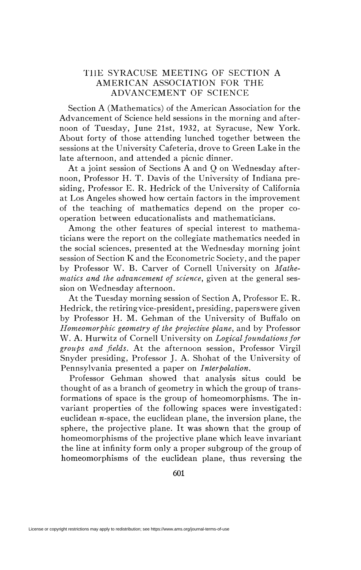## THE SYRACUSE MEETING OF SECTION A AMERICAN ASSOCIATION FOR THE ADVANCEMENT OF SCIENCE

Section A (Mathematics) of the American Association for the Advancement of Science held sessions in the morning and afternoon of Tuesday, June 21st, 1932, at Syracuse, New York. About forty of those attending lunched together between the sessions at the University Cafeteria, drove to Green Lake in the late afternoon, and attended a picnic dinner.

At a joint session of Sections A and Q on Wednesday afternoon, Professor H. T. Davis of the University of Indiana presiding, Professor E. R. Hedrick of the University of California at Los Angeles showed how certain factors in the improvement of the teaching of mathematics depend on the proper cooperation between educationalists and mathematicians.

Among the other features of special interest to mathematicians were the report on the collegiate mathematics needed in the social sciences, presented at the Wednesday morning joint session of Section K and the Econometric Society, and the paper by Professor W. B. Carver of Cornell University on *Mathematics and the advancement of science,* given at the general session on Wednesday afternoon.

At the Tuesday morning session of Section A, Professor E. R. Hedrick, the retiringvice-president, presiding, paperswere given by Professor H. M. Gehman of the University of Buffalo on *Homeomorphic geometry of the projective plane,* and by Professor W. A. Hurwitz of Cornell University on *Logical foundations for groups and fields.* At the afternoon session, Professor Virgil Snyder presiding, Professor J. A. Shohat of the University of Pennsylvania presented a paper on *Interpolation.* 

Professor Gehman showed that analysis situs could be thought of as a branch of geometry in which the group of transformations of space is the group of homeomorphisms. The invariant properties of the following spaces were investigated: euclidean  $n$ -space, the euclidean plane, the inversion plane, the sphere, the projective plane. It was shown that the group of homeomorphisms of the projective plane which leave invariant the line at infinity form only a proper subgroup of the group of homeomorphisms of the euclidean plane, thus reversing the